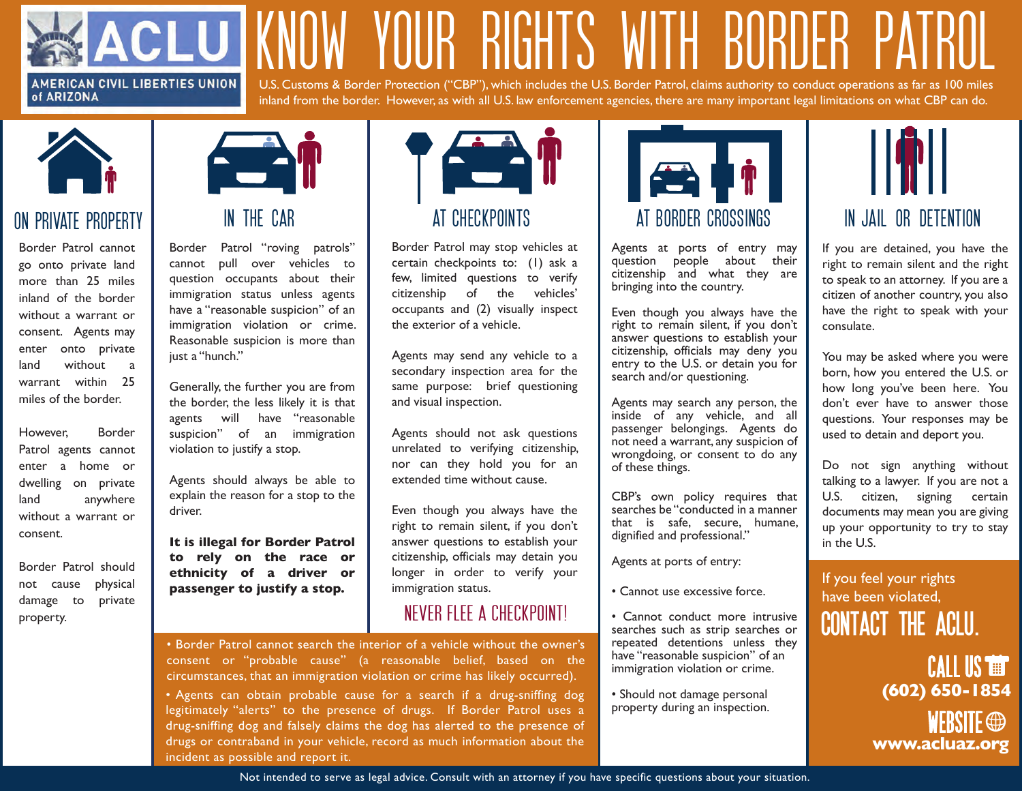#### **AMERICAN CIVIL LIBERTIES UNION** of ARIZONA

KNOW YOUR RIGHTS WITH BORDER PATROL U.S. Customs & Border Protection ("CBP"), which includes the U.S. Border Patrol, claims authority to conduct operations as far as 100 miles inland from the border. However, as with all U.S. law enforcement agencies, there are many important legal limitations on what CBP can do.



### on private property

Border Patrol cannot go onto private land more than 25 miles inland of the border without a warrant or consent. Agents may enter onto private land without a warrant within 25 miles of the border.

However, Border Patrol agents cannot enter a home or dwelling on private land anywhere without a warrant or consent.

Border Patrol should not cause physical damage to private property.



Border Patrol "roving patrols" cannot pull over vehicles to question occupants about their immigration status unless agents have a "reasonable suspicion" of an immigration violation or crime. Reasonable suspicion is more than just a "hunch."

Generally, the further you are from the border, the less likely it is that agents will have "reasonable suspicion" of an immigration violation to justify a stop.

Agents should always be able to explain the reason for a stop to the driver.

**It is illegal for Border Patrol to rely on the race or ethnicity of a driver or passenger to justify a stop.,** 



Border Patrol may stop vehicles at certain checkpoints to: (1) ask a few, limited questions to verify citizenship of the vehicles' occupants and (2) visually inspect the exterior of a vehicle.

Agents may send any vehicle to a secondary inspection area for the same purpose: brief questioning and visual inspection.

Agents should not ask questions unrelated to verifying citizenship, nor can they hold you for an extended time without cause.

Even though you always have the right to remain silent, if you don't answer questions to establish your citizenship, officials may detain you longer in order to verify your immigration status.

#### NEVER FLEE A CHECKPOINT!

• Border Patrol cannot search the interior of a vehicle without the owner's consent or "probable cause" (a reasonable belief, based on the circumstances, that an immigration violation or crime has likely occurred).

• Agents can obtain probable cause for a search if a drug-sniffing dog legitimately "alerts" to the presence of drugs. If Border Patrol uses a drug-sniffing dog and falsely claims the dog has alerted to the presence of drugs or contraband in your vehicle, record as much information about the incident as possible and report it.



Agents at ports of entry may question people about their citizenship and what they are bringing into the country.

Even though you always have the right to remain silent, if you don't answer questions to establish your citizenship, officials may deny you entry to the U.S. or detain you for search and/or questioning.

Agents may search any person, the inside of any vehicle, and all passenger belongings. Agents do not need a warrant, any suspicion of wrongdoing, or consent to do any of these things.

CBP's own policy requires that searches be "conducted in a manner that is safe, secure, humane, dignified and professional."

Agents at ports of entry:

- Cannot use excessive force.
- Cannot conduct more intrusive searches such as strip searches or repeated detentions unless they have "reasonable suspicion" of an immigration violation or crime.
- Should not damage personal property during an inspection.



If you are detained, you have the right to remain silent and the right to speak to an attorney. If you are a citizen of another country, you also have the right to speak with your consulate.

You may be asked where you were born, how you entered the U.S. or how long you've been here. You don't ever have to answer those questions. Your responses may be used to detain and deport you.

Do not sign anything without talking to a lawyer. If you are not a U.S. citizen, signing certain documents may mean you are giving up your opportunity to try to stay in the U.S.

If you feel your rights have been violated, **contact the aclu.**

> **compared** WEBSITE  $\oplus$ CALL US **(602) 650-1854 www.acluaz.org**

Not intended to serve as legal advice. Consult with an attorney if you have specific questions about your situation.